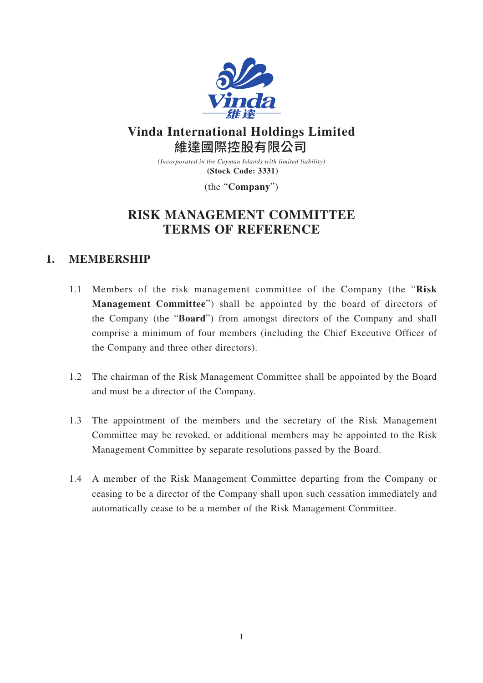

# **Vinda International Holdings Limited** 維達國際控股有限公司

*(Incorporated in the Cayman Islands with limited liability)* **(Stock Code: 3331)**

(the "**Company**")

# **RISK MANAGEMENT COMMITTEE TERMS OF REFERENCE**

### **1. MEMBERSHIP**

- 1.1 Members of the risk management committee of the Company (the "**Risk Management Committee**") shall be appointed by the board of directors of the Company (the "**Board**") from amongst directors of the Company and shall comprise a minimum of four members (including the Chief Executive Officer of the Company and three other directors).
- 1.2 The chairman of the Risk Management Committee shall be appointed by the Board and must be a director of the Company.
- 1.3 The appointment of the members and the secretary of the Risk Management Committee may be revoked, or additional members may be appointed to the Risk Management Committee by separate resolutions passed by the Board.
- 1.4 A member of the Risk Management Committee departing from the Company or ceasing to be a director of the Company shall upon such cessation immediately and automatically cease to be a member of the Risk Management Committee.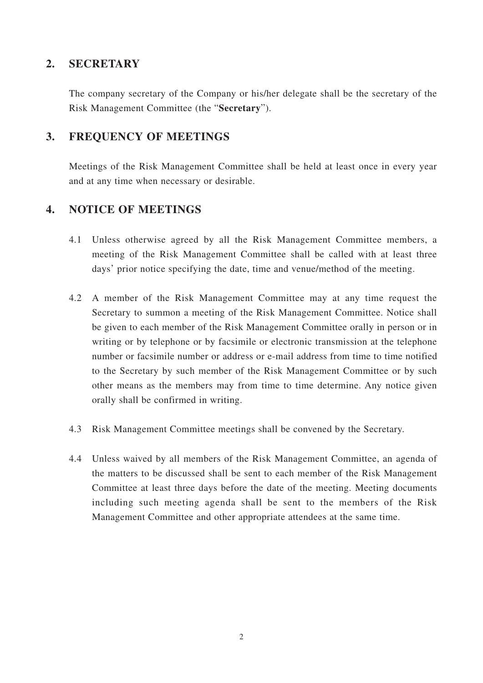#### **2. SECRETARY**

The company secretary of the Company or his/her delegate shall be the secretary of the Risk Management Committee (the "**Secretary**").

#### **3. FREQUENCY OF MEETINGS**

Meetings of the Risk Management Committee shall be held at least once in every year and at any time when necessary or desirable.

#### **4. NOTICE OF MEETINGS**

- 4.1 Unless otherwise agreed by all the Risk Management Committee members, a meeting of the Risk Management Committee shall be called with at least three days' prior notice specifying the date, time and venue/method of the meeting.
- 4.2 A member of the Risk Management Committee may at any time request the Secretary to summon a meeting of the Risk Management Committee. Notice shall be given to each member of the Risk Management Committee orally in person or in writing or by telephone or by facsimile or electronic transmission at the telephone number or facsimile number or address or e-mail address from time to time notified to the Secretary by such member of the Risk Management Committee or by such other means as the members may from time to time determine. Any notice given orally shall be confirmed in writing.
- 4.3 Risk Management Committee meetings shall be convened by the Secretary.
- 4.4 Unless waived by all members of the Risk Management Committee, an agenda of the matters to be discussed shall be sent to each member of the Risk Management Committee at least three days before the date of the meeting. Meeting documents including such meeting agenda shall be sent to the members of the Risk Management Committee and other appropriate attendees at the same time.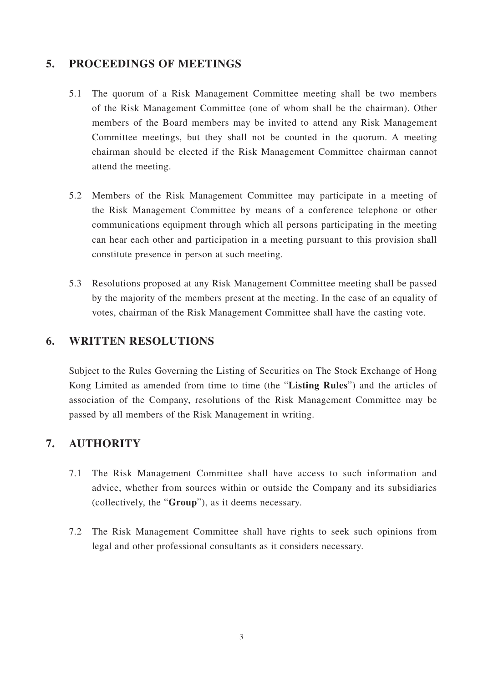#### **5. PROCEEDINGS OF MEETINGS**

- 5.1 The quorum of a Risk Management Committee meeting shall be two members of the Risk Management Committee (one of whom shall be the chairman). Other members of the Board members may be invited to attend any Risk Management Committee meetings, but they shall not be counted in the quorum. A meeting chairman should be elected if the Risk Management Committee chairman cannot attend the meeting.
- 5.2 Members of the Risk Management Committee may participate in a meeting of the Risk Management Committee by means of a conference telephone or other communications equipment through which all persons participating in the meeting can hear each other and participation in a meeting pursuant to this provision shall constitute presence in person at such meeting.
- 5.3 Resolutions proposed at any Risk Management Committee meeting shall be passed by the majority of the members present at the meeting. In the case of an equality of votes, chairman of the Risk Management Committee shall have the casting vote.

#### **6. WRITTEN RESOLUTIONS**

Subject to the Rules Governing the Listing of Securities on The Stock Exchange of Hong Kong Limited as amended from time to time (the "**Listing Rules**") and the articles of association of the Company, resolutions of the Risk Management Committee may be passed by all members of the Risk Management in writing.

#### **7. AUTHORITY**

- 7.1 The Risk Management Committee shall have access to such information and advice, whether from sources within or outside the Company and its subsidiaries (collectively, the "**Group**"), as it deems necessary.
- 7.2 The Risk Management Committee shall have rights to seek such opinions from legal and other professional consultants as it considers necessary.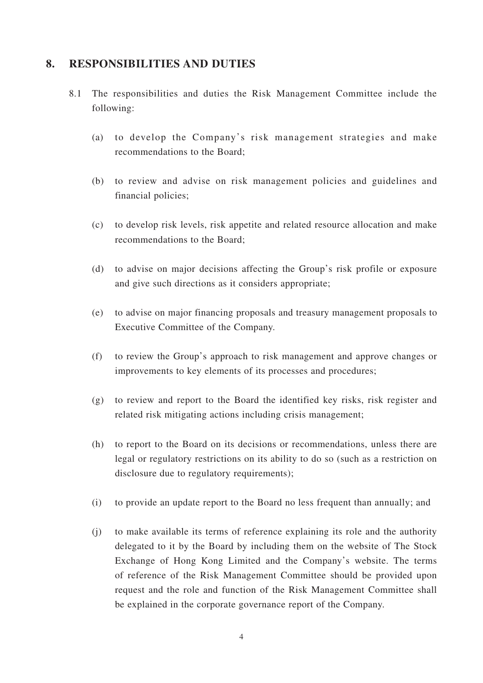#### **8. RESPONSIBILITIES AND DUTIES**

- 8.1 The responsibilities and duties the Risk Management Committee include the following:
	- (a) to develop the Company's risk management strategies and make recommendations to the Board;
	- (b) to review and advise on risk management policies and guidelines and financial policies;
	- (c) to develop risk levels, risk appetite and related resource allocation and make recommendations to the Board;
	- (d) to advise on major decisions affecting the Group's risk profile or exposure and give such directions as it considers appropriate;
	- (e) to advise on major financing proposals and treasury management proposals to Executive Committee of the Company.
	- (f) to review the Group's approach to risk management and approve changes or improvements to key elements of its processes and procedures;
	- (g) to review and report to the Board the identified key risks, risk register and related risk mitigating actions including crisis management;
	- (h) to report to the Board on its decisions or recommendations, unless there are legal or regulatory restrictions on its ability to do so (such as a restriction on disclosure due to regulatory requirements);
	- (i) to provide an update report to the Board no less frequent than annually; and
	- (j) to make available its terms of reference explaining its role and the authority delegated to it by the Board by including them on the website of The Stock Exchange of Hong Kong Limited and the Company's website. The terms of reference of the Risk Management Committee should be provided upon request and the role and function of the Risk Management Committee shall be explained in the corporate governance report of the Company.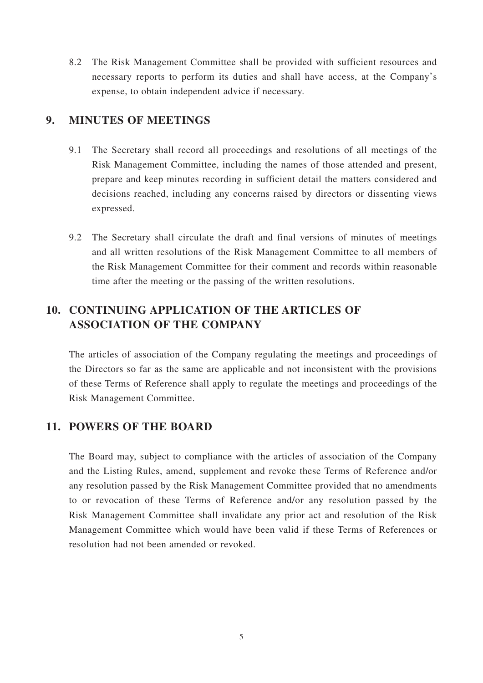8.2 The Risk Management Committee shall be provided with sufficient resources and necessary reports to perform its duties and shall have access, at the Company's expense, to obtain independent advice if necessary.

#### **9. MINUTES OF MEETINGS**

- 9.1 The Secretary shall record all proceedings and resolutions of all meetings of the Risk Management Committee, including the names of those attended and present, prepare and keep minutes recording in sufficient detail the matters considered and decisions reached, including any concerns raised by directors or dissenting views expressed.
- 9.2 The Secretary shall circulate the draft and final versions of minutes of meetings and all written resolutions of the Risk Management Committee to all members of the Risk Management Committee for their comment and records within reasonable time after the meeting or the passing of the written resolutions.

### **10. CONTINUING APPLICATION OF THE ARTICLES OF ASSOCIATION OF THE COMPANY**

The articles of association of the Company regulating the meetings and proceedings of the Directors so far as the same are applicable and not inconsistent with the provisions of these Terms of Reference shall apply to regulate the meetings and proceedings of the Risk Management Committee.

#### **11. POWERS OF THE BOARD**

The Board may, subject to compliance with the articles of association of the Company and the Listing Rules, amend, supplement and revoke these Terms of Reference and/or any resolution passed by the Risk Management Committee provided that no amendments to or revocation of these Terms of Reference and/or any resolution passed by the Risk Management Committee shall invalidate any prior act and resolution of the Risk Management Committee which would have been valid if these Terms of References or resolution had not been amended or revoked.